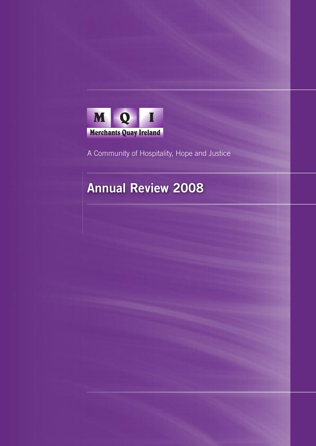

A Community of Hospitality, Hope and Justice

# **Annual Review 2008**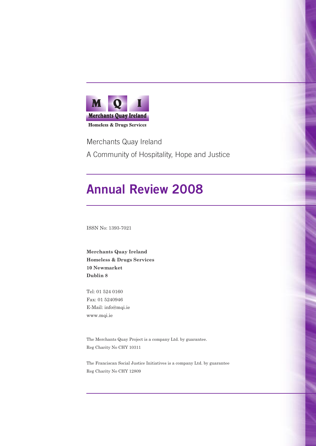

Merchants Quay Ireland A Community of Hospitality, Hope and Justice

# **Annual Review 2008**

ISSN No: 1393-7021

**Merchants Quay Ireland Homeless & Drugs Services 10 Newmarket Dublin 8**

Tel: 01 524 0160 Fax: 01 5240946 E-Mail: info@mqi.ie www.mqi.ie

The Merchants Quay Project is a company Ltd. by guarantee. Reg Charity No CHY 10311

The Franciscan Social Justice Initiatives is a company Ltd. by guarantee Reg Charity No CHY 12809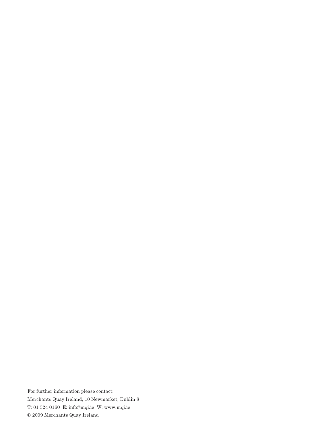For further information please contact: Merchants Quay Ireland, 10 Newmarket, Dublin 8 T: 01 524 0160 E: info@mqi.ie W: www.mqi.ie © 2009 Merchants Quay Ireland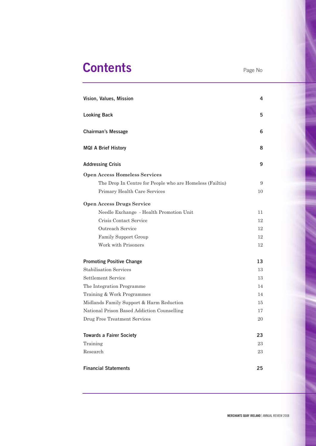# **Contents** Page No

| Vision, Values, Mission                                  | 4  |
|----------------------------------------------------------|----|
| <b>Looking Back</b>                                      | 5  |
| <b>Chairman's Message</b>                                | 6  |
| <b>MQI A Brief History</b>                               | 8  |
| <b>Addressing Crisis</b>                                 | 9  |
| <b>Open Access Homeless Services</b>                     |    |
| The Drop In Centre for People who are Homeless (Failtiu) | 9  |
| Primary Health Care Services                             | 10 |
| <b>Open Access Drugs Service</b>                         |    |
| Needle Exchange - Health Promotion Unit                  | 11 |
| Crisis Contact Service                                   | 12 |
| Outreach Service                                         | 12 |
| Family Support Group                                     | 12 |
| Work with Prisoners                                      | 12 |
| <b>Promoting Positive Change</b>                         | 13 |
| <b>Stabilisation Services</b>                            | 13 |
| Settlement Service                                       | 13 |
| The Integration Programme                                | 14 |
| Training & Work Programmes                               | 14 |
| Midlands Family Support & Harm Reduction                 | 15 |
| National Prison Based Addiction Counselling              | 17 |
| Drug Free Treatment Services                             | 20 |
| <b>Towards a Fairer Society</b>                          | 23 |
| Training                                                 | 23 |
| Research                                                 | 23 |
| <b>Financial Statements</b>                              | 25 |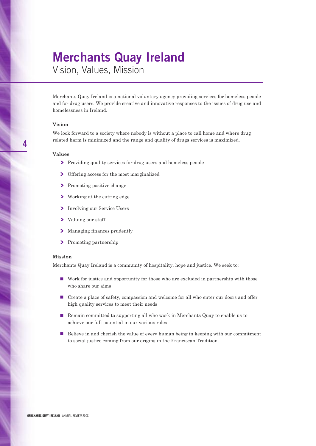### **Merchants Quay Ireland**

Vision, Values, Mission

Merchants Quay Ireland is a national voluntary agency providing services for homeless people and for drug users. We provide creative and innovative responses to the issues of drug use and homelessness in Ireland.

#### **Vision**

We look forward to a society where nobody is without a place to call home and where drug related harm is minimized and the range and quality of drugs services is maximized.

#### **Values**

- $\blacktriangleright$  Providing quality services for drug users and homeless people
- $\sum$  Offering access for the most marginalized
- **EXECUTE:** Promoting positive change
- **❯** Working at the cutting edge
- **❯** Involving our Service Users
- **❯** Valuing our staff
- $\sum$  Managing finances prudently
- $\sum$  Promoting partnership

#### **Mission**

Merchants Quay Ireland is a community of hospitality, hope and justice. We seek to:

- Work for justice and opportunity for those who are excluded in partnership with those who share our aims
- Create a place of safety, compassion and welcome for all who enter our doors and offer high quality services to meet their needs
- **■** Remain committed to supporting all who work in Merchants Quay to enable us to achieve our full potential in our various roles
- Believe in and cherish the value of every human being in keeping with our commitment to social justice coming from our origins in the Franciscan Tradition.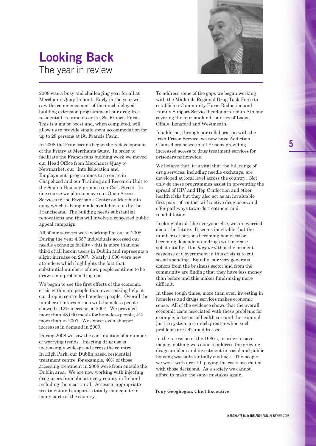



2008 was a busy and challenging year for all at Merchants Quay Ireland. Early in the year we saw the commencement of the much delayed building extension programme at our drug-free residential treatment centre, St. Francis Farm. This is a major boost and, when completed, will allow us to provide single room accommodation for up to 28 persons at St. Francis Farm.

In 2008 the Franciscans began the redevelopment of the Friary at Merchants Quay. In order to facilitate the Franciscans building work we moved our Head Office from Merchants Quay to Newmarket, our "Into Education and Employment" programmes to a centre in Chapelizod and our Training and Research Unit to the Sophia Housing premises on Cork Street. In due course we plan to move our Open Access Services to the Riverbank Centre on Merchants quay which is being made available to us by the Franciscans. The building needs substantial renovations and this will involve a concerted public appeal campaign.

All of our services were working flat out in 2008. During the year 4,657 individuals accessed our needle exchange facility - this is more than one third of all heroin users in Dublin and represents a slight increase on 2007. Nearly 1,000 were new attendees which highlights the fact that substantial numbers of new people continue to be drawn into problem drug use.

We began to see the first effects of the economic crisis with more people than ever seeking help at our drop in centre for homeless people. Overall the number of interventions with homeless people showed a 12% increase on 2007. We provided more than 48,000 meals for homeless people, 4% more than in 2007. We expect even sharper increases in demand in 2009.

During 2008 we saw the continuation of a number of worrying trends. Injecting drug use is increasingly widespread across the country. In High Park, our Dublin based residential treatment centre, for example, 40% of those accessing treatment in 2008 were from outside the Dublin area. We are now working with injecting drug users from almost every county in Ireland including the most rural. Access to appropriate treatment and support is totally inadequate in many parts of the country.

To address some of the gaps we began working with the Midlands Regional Drug Task Force to establish a Community Harm Reduction and Family Support Service headquartered in Athlone covering the four midland counties of Laois, Offaly, Longford and Westmeath.

In addition, through our collaboration with the Irish Prison Service, we now have Addiction Counsellors based in all Prisons providing increased access to drug treatment services for prisoners nationwide.

We believe that it is vital that the full range of drug services, including needle exchange, are developed at local level across the country. Not only do these programmes assist in preventing the spread of HIV and Hep C infection and other health risks but they also act as an invaluable first point of contact with active drug users and offer pathways towards treatment and rehabilitation

Looking ahead, like everyone else, we are worried about the future. It seems inevitable that the numbers of persons becoming homeless or becoming dependent on drugs will increase substantially. It is *holy writ* that the prudent response of Government in this crisis is to cut social spending. Equally, our very generous donors from the business sector and from the community are finding that they have less money than before and this makes fundraising more difficult.

In these tough times, more than ever, investing in homeless and drugs services makes economic sense. All of the evidence shows that the overall economic costs associated with these problems for example, in terms of healthcare and the criminal justice system, are much greater when such problems are left unaddressed.

In the recession of the 1980's, in order to save money, nothing was done to address the growing drugs problem and investment in social and public housing was substantially cut back. The people we work with are still paying the costs associated with those decisions. As a society we cannot afford to make the same mistakes again.

**Tony Geoghegan, Chief Executive**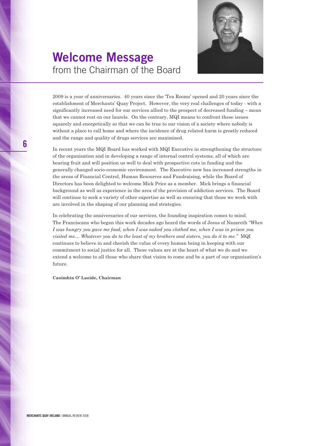

### **Welcome Message** from the Chairman of the Board

2009 is a year of anniversaries. 40 years since the 'Tea Rooms' opened and 20 years since the establishment of Merchants' Quay Project. However, the very real challenges of today - with a significantly increased need for our services allied to the prospect of decreased funding – mean that we cannot rest on our laurels. On the contrary, MQI means to confront these issues squarely and energetically so that we can be true to our vision of a society where nobody is without a place to call home and where the incidence of drug related harm is greatly reduced and the range and quality of drugs services are maximised.

In recent years the MQI Board has worked with MQI Executive in strengthening the structure of the organisation and in developing a range of internal control systems, all of which are bearing fruit and will position us well to deal with prospective cuts in funding and the generally changed socio-economic environment. The Executive now has increased strengths in the areas of Financial Control, Human Resources and Fundraising, while the Board of Directors has been delighted to welcome Mick Price as a member. Mick brings a financial background as well as experience in the area of the provision of addiction services. The Board will continue to seek a variety of other expertise as well as ensuring that those we work with are involved in the shaping of our planning and strategies.

In celebrating the anniversaries of our services, the founding inspiration comes to mind. The Franciscans who began this work decades ago heard the words of Jesus of Nazareth *"When* I was hungry you gave me food, when I was naked you clothed me, when I was in prison you *visited me… Whatever you do to the least of my brothers and sisters, you do it to me."* MQI continues to believe in and cherish the value of every human being in keeping with our commitment to social justice for all. These values are at the heart of what we do and we extend a welcome to all those who share that vision to come and be a part of our organisation's future.

**Caoimhin O' Laoide, Chairman**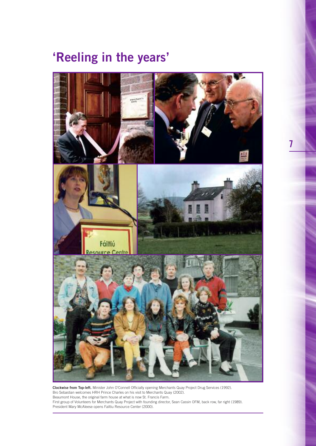# **'Reeling in the years'**



**Clockwise from Top-left.** Minister John O'Connell Officially opening Merchants Quay Project Drug Services (1992). Bro Sebastian welcomes HRH Prince Charles on his visit to Merchants Quay (2002). Beaumont House, the original farm house at what is now St. Francis Farm. First group of Volunteers for Merchants Quay Project with founding director, Sean Cassin OFM, back row, far right (1989). President Mary McAleese opens Failtiu Resource Center (2000).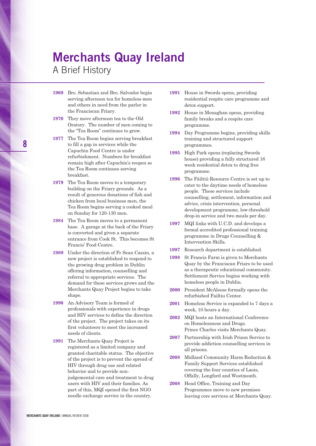### **Merchants Quay Ireland**

A Brief History

- **1969** Bro. Sebastian and Bro. Salvador begin serving afternoon tea for homeless men and others in need from the parlor in the Franciscan Friary.
- **1970** They move afternoon tea to the Old Oratory. The number of men coming to the "Tea Room" continues to grow.
- **1977** The Tea Room begins serving breakfast to fill a gap in services while the Capuchin Food Centre is under refurbishment. Numbers for breakfast remain high after Capuchin's reopen so the Tea Room continues serving breakfast.
- **1979** The Tea Room moves to a temporary building on the Friary grounds. As a result of generous donations of fish and chicken from local business men, the Tea Room begins serving a cooked meal on Sunday for 120-130 men.
- **1984** The Tea Room moves to a permanent base. A garage at the back of the Friary is converted and given a separate entrance from Cook St. This becomes St Francis' Food Centre.
- **1989** Under the direction of Fr Sean Cassin, a new project is established to respond to the growing drug problem in Dublin offering information, counselling and referral to appropriate services. The demand for these services grows and the Merchants Quay Project begins to take shape.
- **1990** An Advisory Team is formed of professionals with experience in drugs and HIV services to define the direction of the project. The project takes on its first volunteers to meet the increased needs of clients.
- **1991** The Merchants Quay Project is registered as a limited company and granted charitable status. The objective of the project is to prevent the spread of HIV through drug use and related behavior and to provide nonjudgemental care and treatment to drug users with HIV and their families. As part of this, MQI opened the first NGO needle exchange service in the country.
- **1991** House in Swords opens, providing residential respite care programme and detox support.
- **1992** House in Monaghan opens, providing family breaks and a respite care programme.
- **1994** Day Programme begins, providing skills training and structured support programmes.
- **1995** High Park opens (replacing Swords house) providing a fully structured 16 week residential detox to drug free programme.
- **1996** The Fáiltiú Resource Centre is set up to cater to the daytime needs of homeless people. These services include counselling, settlement, information and advice, crisis intervention, personal development programme, low-threshold drop-in service and two meals per day.
- **1997** MQI links with U.C.D. and develops a formal accredited professional training programme in Drugs Counselling & Intervention Skills.
- **1997** Research department is established.
- **1998** St Francis Farm is given to Merchants Quay by the Franciscan Friars to be used as a therapeutic educational community. Settlement Service begins working with homeless people in Dublin.
- **2000** President McAleese formally opens the refurbished Failtiu Center.
- **2001** Homeless Service is expanded to 7 days a week, 10 hours a day.
- **2002** MQI hosts an International Conference on Homelessness and Drugs. Prince Charles visits Merchants Quay.
- **2007** Partnership with Irish Prison Service to provide addiction counselling services in all prisons.
- **2008** Midland Community Harm Reduction & Family Support Services established covering the four counties of Laois, Offally, Longford and Westmeath.
- **2008** Head Office, Training and Day Programmes move to new premises leaving core services at Merchants Quay.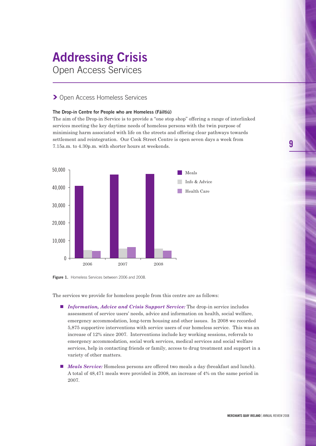# **Addressing Crisis**

Open Access Services

### **❯** Open Access Homeless Services

#### **The Drop-in Centre for People who are Homeless (Fáiltiú)**

The aim of the Drop-in Service is to provide a "one stop shop" offering a range of interlinked services meeting the key daytime needs of homeless persons with the twin purpose of minimising harm associated with life on the streets and offering clear pathways towards settlement and reintegration. Our Cook Street Centre is open seven days a week from 7.15a.m. to 4.30p.m. with shorter hours at weekends.





The services we provide for homeless people from this centre are as follows:

- *Information, Advice and Crisis Support Service:* The drop-in service includes assessment of service users' needs, advice and information on health, social welfare, emergency accommodation, long-term housing and other issues. In 2008 we recorded 5,875 supportive interventions with service users of our homeless service. This was an increase of 12% since 2007. Interventions include key working sessions, referrals to emergency accommodation, social work services, medical services and social welfare services, help in contacting friends or family, access to drug treatment and support in a variety of other matters.
- *Meals Service:* Homeless persons are offered two meals a day (breakfast and lunch). A total of 48,471 meals were provided in 2008, an increase of 4% on the same period in 2007.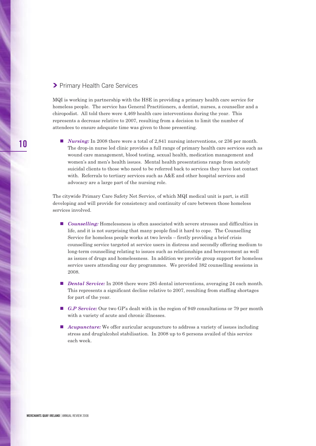### **❯** Primary Health Care Services

MQI is working in partnership with the HSE in providing a primary health care service for homeless people. The service has General Practitioners, a dentist, nurses, a counsellor and a chiropodist. All told there were 4,469 health care interventions during the year. This represents a decrease relative to 2007, resulting from a decision to limit the number of attendees to ensure adequate time was given to those presenting.

■ *Nursing:* In 2008 there were a total of 2,841 nursing interventions, or 236 per month. The drop-in nurse led clinic provides a full range of primary health care services such as wound care management, blood testing, sexual health, medication management and women's and men's health issues. Mental health presentations range from acutely suicidal clients to those who need to be referred back to services they have lost contact with. Referrals to tertiary services such as A&E and other hospital services and advocacy are a large part of the nursing role.

The citywide Primary Care Safety Net Service, of which MQI medical unit is part, is still developing and will provide for consistency and continuity of care between those homeless services involved.

- *Counselling:* Homelessness is often associated with severe stresses and difficulties in life, and it is not surprising that many people find it hard to cope. The Counselling Service for homeless people works at two levels – firstly providing a brief crisis counselling service targeted at service users in distress and secondly offering medium to long-term counselling relating to issues such as relationships and bereavement as well as issues of drugs and homelessness. In addition we provide group support for homeless service users attending our day programmes. We provided 382 counselling sessions in 2008.
- *Dental Service:* In 2008 there were 285 dental interventions, averaging 24 each month. This represents a significant decline relative to 2007, resulting from staffing shortages for part of the year.
- *G.P Service:* Our two GP's dealt with in the region of 949 consultations or 79 per month with a variety of acute and chronic illnesses.
- *Acupuncture:* We offer auricular acupuncture to address a variety of issues including stress and drug/alcohol stabilisation. In 2008 up to 6 persons availed of this service each week.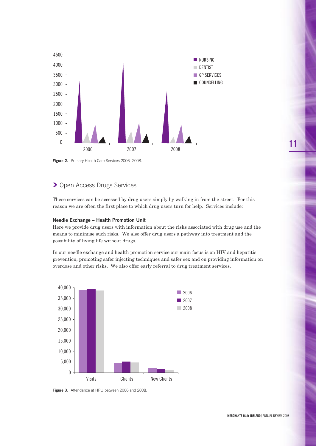

**Figure 2.** Primary Health Care Services 2006- 2008.

### **>** Open Access Drugs Services

These services can be accessed by drug users simply by walking in from the street. For this reason we are often the first place to which drug users turn for help. Services include:

#### **Needle Exchange – Health Promotion Unit**

Here we provide drug users with information about the risks associated with drug use and the means to minimise such risks. We also offer drug users a pathway into treatment and the possibility of living life without drugs.

In our needle exchange and health promotion service our main focus is on HIV and hepatitis prevention, promoting safer injecting techniques and safer sex and on providing information on overdose and other risks. We also offer early referral to drug treatment services.



**Figure 3.** Attendance at HPU between 2006 and 2008.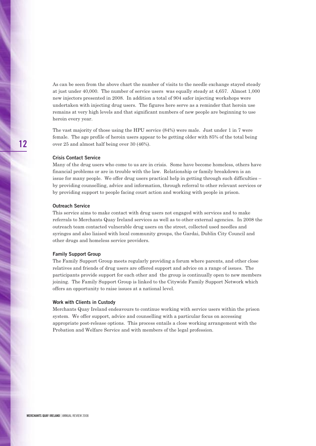As can be seen from the above chart the number of visits to the needle exchange stayed steady at just under 40,000. The number of service users was equally steady at 4,657. Almost 1,000 new injectors presented in 2008. In addition a total of 904 safer injecting workshops were undertaken with injecting drug users. The figures here serve as a reminder that heroin use remains at very high levels and that significant numbers of new people are beginning to use heroin every year.

The vast majority of those using the HPU service (84%) were male. Just under 1 in 7 were female. The age profile of heroin users appear to be getting older with 85% of the total being over 25 and almost half being over 30 (46%).

#### **Crisis Contact Service**

Many of the drug users who come to us are in crisis. Some have become homeless, others have financial problems or are in trouble with the law. Relationship or family breakdown is an issue for many people. We offer drug users practical help in getting through such difficulties – by providing counselling, advice and information, through referral to other relevant services or by providing support to people facing court action and working with people in prison.

#### **Outreach Service**

This service aims to make contact with drug users not engaged with services and to make referrals to Merchants Quay Ireland services as well as to other external agencies. In 2008 the outreach team contacted vulnerable drug users on the street, collected used needles and syringes and also liaised with local community groups, the Gardai, Dublin City Council and other drugs and homeless service providers.

#### **Family Support Group**

The Family Support Group meets regularly providing a forum where parents, and other close relatives and friends of drug users are offered support and advice on a range of issues. The participants provide support for each other and the group is continually open to new members joining. The Family Support Group is linked to the Citywide Family Support Network which offers an opportunity to raise issues at a national level.

#### **Work with Clients in Custody**

Merchants Quay Ireland endeavours to continue working with service users within the prison system. We offer support, advice and counselling with a particular focus on accessing appropriate post-release options. This process entails a close working arrangement with the Probation and Welfare Service and with members of the legal profession.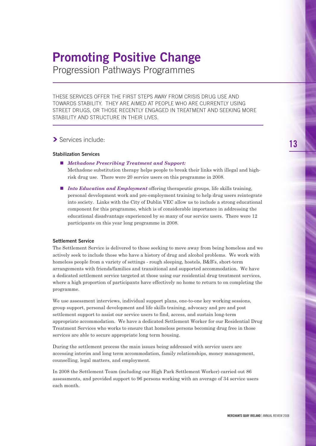# **Promoting Positive Change**

Progression Pathways Programmes

THESE SERVICES OFFER THE FIRST STEPS AWAY FROM CRISIS DRUG USE AND TOWARDS STABILITY. THEY ARE AIMED AT PEOPLE WHO ARE CURRENTLY USING STREET DRUGS, OR THOSE RECENTLY ENGAGED IN TREATMENT AND SEEKING MORE STABILITY AND STRUCTURE IN THEIR LIVES.

### **❯** Services include:

### **Stabilization Services**

**■** *Methadone Prescribing Treatment and Support:*

Methadone substitution therapy helps people to break their links with illegal and highrisk drug use. There were 20 service users on this programme in 2008.

■ *Into Education and Employment* offering therapeutic groups, life skills training, personal development work and pre-employment training to help drug users reintegrate into society. Links with the City of Dublin VEC allow us to include a strong educational component for this programme, which is of considerable importance in addressing the educational disadvantage experienced by so many of our service users. There were 12 participants on this year long programme in 2008.

#### **Settlement Service**

The Settlement Service is delivered to those seeking to move away from being homeless and we actively seek to include those who have a history of drug and alcohol problems. We work with homeless people from a variety of settings - rough sleeping, hostels, B&B's, short-term arrangements with friends/families and transitional and supported accommodation. We have a dedicated settlement service targeted at those using our residential drug treatment services, where a high proportion of participants have effectively no home to return to on completing the programme.

We use assessment interviews, individual support plans, one-to-one key working sessions, group support, personal development and life skills training, advocacy and pre and post settlement support to assist our service users to find, access, and sustain long-term appropriate accommodation. We have a dedicated Settlement Worker for our Residential Drug Treatment Services who works to ensure that homeless persons becoming drug free in those services are able to secure appropriate long term housing.

During the settlement process the main issues being addressed with service users are accessing interim and long term accommodation, family relationships, money management, counselling, legal matters, and employment.

In 2008 the Settlement Team (including our High Park Settlement Worker) carried out 86 assessments, and provided support to 96 persons working with an average of 34 service users each month.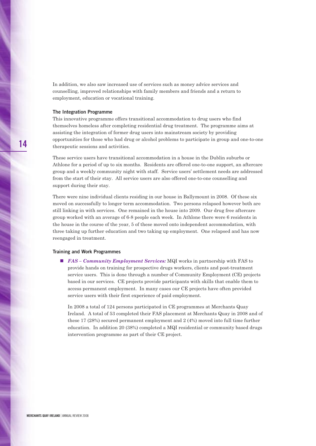In addition, we also saw increased use of services such as money advice services and counselling, improved relationships with family members and friends and a return to employment, education or vocational training.

#### **The Integration Programme**

This innovative programme offers transitional accommodation to drug users who find themselves homeless after completing residential drug treatment. The programme aims at assisting the integration of former drug users into mainstream society by providing opportunities for those who had drug or alcohol problems to participate in group and one-to-one therapeutic sessions and activities.

These service users have transitional accommodation in a house in the Dublin suburbs or Athlone for a period of up to six months. Residents are offered one-to-one support, an aftercare group and a weekly community night with staff. Service users' settlement needs are addressed from the start of their stay. All service users are also offered one-to-one counselling and support during their stay.

There were nine individual clients residing in our house in Ballymount in 2008. Of these six moved on successfully to longer term accommodation. Two persons relapsed however both are still linking in with services. One remained in the house into 2009. Our drug free aftercare group worked with an average of 6-8 people each week. In Athlone there were 6 residents in the house in the course of the year, 5 of these moved onto independent accommodation, with three taking up further education and two taking up employment. One relapsed and has now reengaged in treatment.

#### **Training and Work Programmes**

■ *FAS* – *Community Employment Services:* MQI works in partnership with FAS to provide hands on training for prospective drugs workers, clients and post-treatment service users. This is done through a number of Community Employment (CE) projects based in our services. CE projects provide participants with skills that enable them to access permanent employment. In many cases our CE projects have often provided service users with their first experience of paid employment.

In 2008 a total of 124 persons participated in CE programmes at Merchants Quay Ireland. A total of 53 completed their FAS placement at Merchants Quay in 2008 and of these 17 (28%) secured permanent employment and 2 (4%) moved into full time further education. In addition 20 (38%) completed a MQI residential or community based drugs intervention programme as part of their CE project.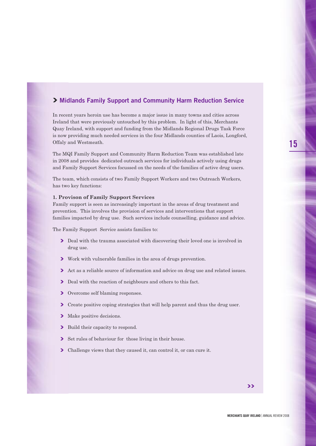### **❯ Midlands Family Support and Community Harm Reduction Service**

In recent years heroin use has become a major issue in many towns and cities across Ireland that were previously untouched by this problem. In light of this, Merchants Quay Ireland, with support and funding from the Midlands Regional Drugs Task Force is now providing much needed services in the four Midlands counties of Laois, Longford, Offaly and Westmeath.

The MQI Family Support and Community Harm Reduction Team was established late in 2008 and provides dedicated outreach services for individuals actively using drugs and Family Support Services focussed on the needs of the families of active drug users.

The team, which consists of two Family Support Workers and two Outreach Workers, has two key functions:

#### **1. Provison of Family Support Services**

Family support is seen as increasingly important in the areas of drug treatment and prevention. This involves the provision of services and interventions that support families impacted by drug use. Such services include counselling, guidance and advice.

The Family Support Service assists families to:

- **▶** Deal with the trauma associated with discovering their loved one is involved in drug use.
- **❯** Work with vulnerable families in the area of drugs prevention.
- **▶ Act as a reliable source of information and advice on drug use and related issues.**
- $\blacktriangleright$  Deal with the reaction of neighbours and others to this fact.
- $\sum$  Overcome self blaming responses.
- Create positive coping strategies that will help parent and thus the drug user.
- $\blacktriangleright$  Make positive decisions.
- $\blacktriangleright$  Build their capacity to respond.
- **❯** Set rules of behaviour for those living in their house.
- **❯** Challenge views that they caused it, can control it, or can cure it.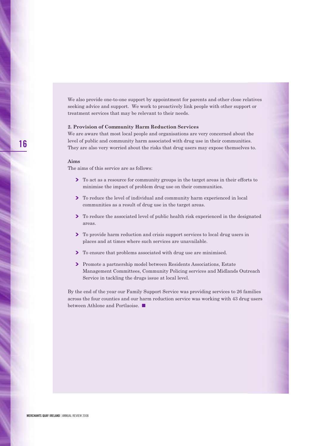We also provide one-to-one support by appointment for parents and other close relatives seeking advice and support. We work to proactively link people with other support or treatment services that may be relevant to their needs.

#### **2. Provision of Community Harm Reduction Services**

We are aware that most local people and organisations are very concerned about the level of public and community harm associated with drug use in their communities. They are also very worried about the risks that drug users may expose themselves to.

#### **Aims**

The aims of this service are as follows:

- **▶** To act as a resource for community groups in the target areas in their efforts to minimise the impact of problem drug use on their communities.
- ▶ To reduce the level of individual and community harm experienced in local communities as a result of drug use in the target areas.
- ▶ To reduce the associated level of public health risk experienced in the designated areas.
- ▶ To provide harm reduction and crisis support services to local drug users in places and at times where such services are unavailable.
- **▶ To ensure that problems associated with drug use are minimised.**
- **▶ Promote a partnership model between Residents Associations, Estate** Management Committees, Community Policing services and Midlands Outreach Service in tackling the drugs issue at local level.

By the end of the year our Family Support Service was providing services to 26 families across the four counties and our harm reduction service was working with 43 drug users between Athlone and Portlaoise. **■**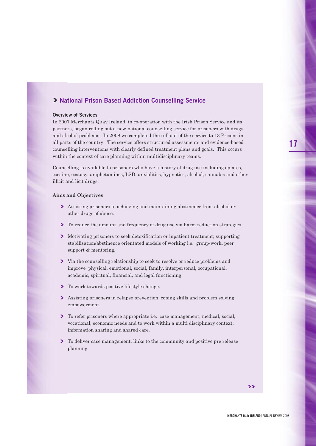### **❯ National Prison Based Addiction Counselling Service**

#### **Overview of Services**

In 2007 Merchants Quay Ireland, in co-operation with the Irish Prison Service and its partners, began rolling out a new national counselling service for prisoners with drugs and alcohol problems. In 2008 we completed the roll out of the service to 13 Prisons in all parts of the country. The service offers structured assessments and evidence-based counselling interventions with clearly defined treatment plans and goals. This occurs within the context of care planning within multidisciplinary teams.

Counselling is available to prisoners who have a history of drug use including opiates, cocaine, ecstasy, amphetamines, LSD, anxiolitics, hypnotics, alcohol, cannabis and other illicit and licit drugs.

#### **Aims and Objectives**

- $\triangleright$  Assisting prisoners to achieving and maintaining abstinence from alcohol or other drugs of abuse.
- ▶ To reduce the amount and frequency of drug use via harm reduction strategies.
- $\triangleright$  Motivating prisoners to seek detoxification or inpatient treatment; supporting stabilisation/abstinence orientated models of working i.e. group-work, peer support & mentoring.
- **❯** Via the counselling relationship to seek to resolve or reduce problems and improve physical, emotional, social, family, interpersonal, occupational, academic, spiritual, financial, and legal functioning.
- **▶ To work towards positive lifestyle change.**
- $\sum$  Assisting prisoners in relapse prevention, coping skills and problem solving empowerment.
- **▶** To refer prisoners where appropriate i.e. case management, medical, social, vocational, economic needs and to work within a multi disciplinary context, information sharing and shared care.
- ▶ To deliver case management, links to the community and positive pre release planning.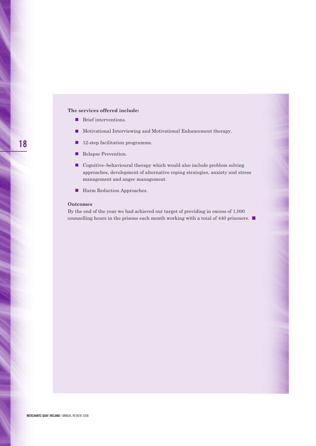#### **The services offered include:**

- **■** Brief interventions.
- **■** Motivational Interviewing and Motivational Enhancement therapy.
- 12-step facilitation programme.
- Relapse Prevention.
- Cognitive–behavioural therapy which would also include problem solving approaches, development of alternative coping strategies, anxiety and stress management and anger management.
- Harm Reduction Approaches.

#### **Outcomes**

By the end of the year we had achieved our target of providing in excess of 1,000 counselling hours in the prisons each month working with a total of 440 prisoners. **■**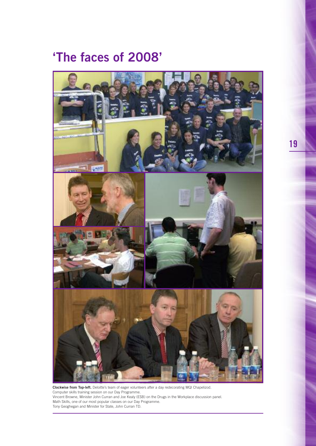# **'The faces of 2008'**



**Clockwise from Top-left.** Deloitte's team of eager volunteers after a day redecorating MQI Chapelizod. Computer skills training session on our Day Programme. Vincent Browne, Minister John Curran and Joe Kealy (ESB) on the Drugs in the Workplace discussion panel. Math Skills, one of our most popular classes on our Day Programme. Tony Geoghegan and Minister for State, John Curran TD.

**19**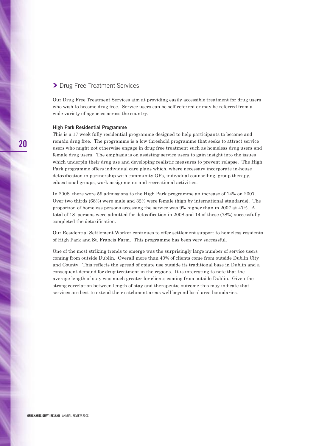### **❯** Drug Free Treatment Services

Our Drug Free Treatment Services aim at providing easily accessible treatment for drug users who wish to become drug free. Service users can be self referred or may be referred from a wide variety of agencies across the country.

#### **High Park Residential Programme**

This is a 17 week fully residential programme designed to help participants to become and remain drug free. The programme is a low threshold programme that seeks to attract service users who might not otherwise engage in drug free treatment such as homeless drug users and female drug users. The emphasis is on assisting service users to gain insight into the issues which underpin their drug use and developing realistic measures to prevent relapse. The High Park programme offers individual care plans which, where necessary incorporate in-house detoxification in partnership with community GPs, individual counselling, group therapy, educational groups, work assignments and recreational activities.

In 2008 there were 59 admissions to the High Park programme an increase of 14% on 2007. Over two thirds (68%) were male and 32% were female (high by international standards). The proportion of homeless persons accessing the service was 9% higher than in 2007 at 47%. A total of 18 persons were admitted for detoxification in 2008 and 14 of these (78%) successfully completed the detoxification.

Our Residential Settlement Worker continues to offer settlement support to homeless residents of High Park and St. Francis Farm. This programme has been very successful.

One of the most striking trends to emerge was the surprisingly large number of service users coming from outside Dublin. Overall more than 40% of clients come from outside Dublin City and County. This reflects the spread of opiate use outside its traditional base in Dublin and a consequent demand for drug treatment in the regions. It is interesting to note that the average length of stay was much greater for clients coming from outside Dublin. Given the strong correlation between length of stay and therapeutic outcome this may indicate that services are best to extend their catchment areas well beyond local area boundaries.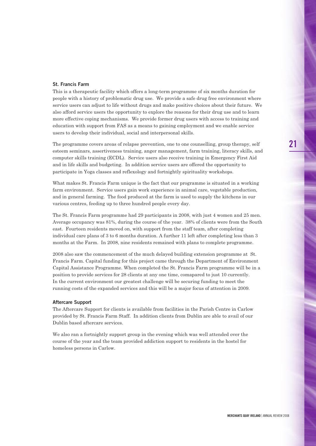#### **St. Francis Farm**

This is a therapeutic facility which offers a long-term programme of six months duration for people with a history of problematic drug use. We provide a safe drug free environment where service users can adjust to life without drugs and make positive choices about their future. We also afford service users the opportunity to explore the reasons for their drug use and to learn more effective coping mechanisms. We provide former drug users with access to training and education with support from FAS as a means to gaining employment and we enable service users to develop their individual, social and interpersonal skills.

The programme covers areas of relapse prevention, one to one counselling, group therapy, self esteem seminars, assertiveness training, anger management, farm training, literacy skills, and computer skills training (ECDL). Service users also receive training in Emergency First Aid and in life skills and budgeting. In addition service users are offered the opportunity to participate in Yoga classes and reflexology and fortnightly spirituality workshops.

What makes St. Francis Farm unique is the fact that our programme is situated in a working farm environment. Service users gain work experience in animal care, vegetable production, and in general farming. The food produced at the farm is used to supply the kitchens in our various centres, feeding up to three hundred people every day.

The St. Francis Farm programme had 29 participants in 2008, with just 4 women and 25 men. Average occupancy was 81%, during the course of the year. 38% of clients were from the South east. Fourteen residents moved on, with support from the staff team, after completing individual care plans of 3 to 6 months duration. A further 11 left after completing less than 3 months at the Farm. In 2008, nine residents remained with plans to complete programme.

2008 also saw the commencement of the much delayed building extension programme at St. Francis Farm. Capital funding for this project came through the Department of Environment Capital Assistance Programme. When completed the St. Francis Farm programme will be in a position to provide services for 28 clients at any one time, comapared to just 10 currently. In the current environment our greatest challenge will be securing funding to meet the running costs of the expanded services and this will be a major focus of attention in 2009.

#### **Aftercare Support**

The Aftercare Support for clients is available from facilities in the Parish Centre in Carlow provided by St. Francis Farm Staff. In addition clients from Dublin are able to avail of our Dublin based aftercare services.

We also ran a fortnightly support group in the evening which was well attended over the course of the year and the team provided addiction support to residents in the hostel for homeless persons in Carlow.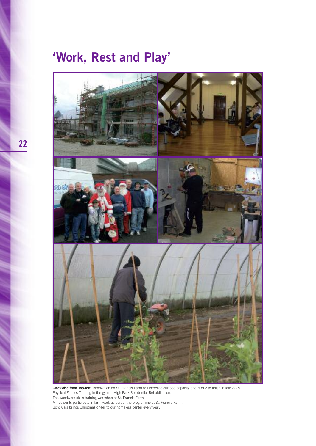# **'Work, Rest and Play'**



**Clockwise from Top-left.** Renovation on St. Francis Farm will increase our bed capacity and is due to finish in late 2009. Physical Fitness Training in the gym at High Park Residential Rehabilitation. The woodwork skills training workshop at St. Francis Farm. All residents participate in farm work as part of the programme at St. Francis Farm. Bord Gais brings Christmas cheer to our homeless center every year.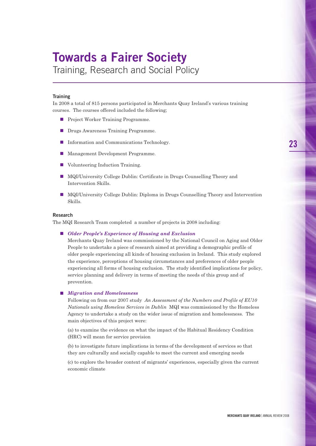# **Towards a Fairer Society**

Training, Research and Social Policy

#### **Training**

In 2008 a total of 815 persons participated in Merchants Quay Ireland's various training courses. The courses offered included the following;

- Project Worker Training Programme.
- Drugs Awareness Training Programme.
- Information and Communications Technology.
- Management Development Programme.
- Volunteering Induction Training.
- MQI/University College Dublin: Certificate in Drugs Counselling Theory and Intervention Skills.
- MQI/University College Dublin: Diploma in Drugs Counselling Theory and Intervention Skills.

#### **Research**

The MQI Research Team completed a number of projects in 2008 including:

#### **■** *Older People's Experience of Housing and Exclusion*

Merchants Quay Ireland was commissioned by the National Council on Aging and Older People to undertake a piece of research aimed at providing a demographic profile of older people experiencing all kinds of housing exclusion in Ireland. This study explored the experience, perceptions of housing circumstances and preferences of older people experiencing all forms of housing exclusion. The study identified implications for policy, service planning and delivery in terms of meeting the needs of this group and of prevention.

#### **■** *Migration and Homelessness*

Following on from our 2007 study *An Assessment of the Numbers and Profile of EU10 Nationals using Homeless Services in Dublin* MQI was commissioned by the Homeless Agency to undertake a study on the wider issue of migration and homelessness. The main objectives of this project were:

(a) to examine the evidence on what the impact of the Habitual Residency Condition (HRC) will mean for service provision

(b) to investigate future implications in terms of the development of services so that they are culturally and socially capable to meet the current and emerging needs

(c) to explore the broader context of migrants' experiences, especially given the current economic climate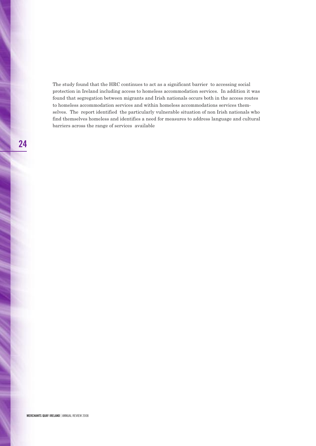The study found that the HRC continues to act as a significant barrier to accessing social protection in Ireland including access to homeless accommodation services. In addition it was found that segregation between migrants and Irish nationals occurs both in the access routes to homeless accommodation services and within homeless accommodations services themselves. The report identified the particularly vulnerable situation of non Irish nationals who find themselves homeless and identifies a need for measures to address language and cultural barriers across the range of services available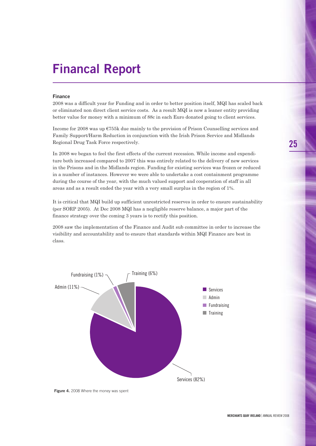# **Financal Report**

#### **Finance**

2008 was a difficult year for Funding and in order to better position itself, MQI has scaled back or eliminated non direct client service costs. As a result MQI is now a leaner entity providing better value for money with a minimum of 88c in each Euro donated going to client services.

Income for 2008 was up  $\epsilon$ 755k due mainly to the provision of Prison Counselling services and Family Support/Harm Reduction in conjunction with the Irish Prison Service and Midlands Regional Drug Task Force respectively.

In 2008 we began to feel the first effects of the current recession. While income and expenditure both increased compared to 2007 this was entirely related to the delivery of new services in the Prisons and in the Midlands region. Funding for existing services was frozen or reduced in a number of instances. However we were able to undertake a cost containment programme during the course of the year, with the much valued support and cooperation of staff in all areas and as a result ended the year with a very small surplus in the region of 1%.

It is critical that MQI build up sufficient unrestricted reserves in order to ensure sustainability (per SORP 2005). At Dec 2008 MQI has a negligible reserve balance, a major part of the finance strategy over the coming 3 years is to rectify this position.

2008 saw the implementation of the Finance and Audit sub committee in order to increase the visibility and accountability and to ensure that standards within MQI Finance are best in class.



**Figure 4.** 2008 Where the money was spent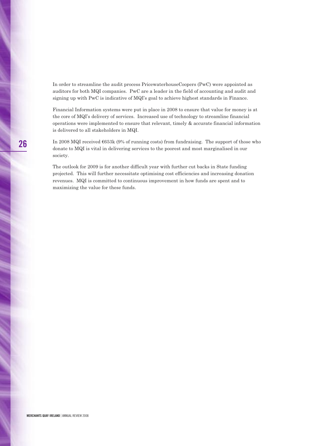In order to streamline the audit process PricewaterhouseCoopers (PwC) were appointed as auditors for both MQI companies. PwC are a leader in the field of accounting and audit and signing up with PwC is indicative of MQI's goal to achieve highest standards in Finance.

Financial Information systems were put in place in 2008 to ensure that value for money is at the core of MQI's delivery of services. Increased use of technology to streamline financial operations were implemented to ensure that relevant, timely & accurate financial information is delivered to all stakeholders in MQI.

In 2008 MQI received €653k (9% of running costs) from fundraising. The support of those who donate to MQI is vital in delivering services to the poorest and most marginalised in our society.

The outlook for 2009 is for another difficult year with further cut backs in State funding projected. This will further necessitate optimising cost efficiencies and increasing donation revenues. MQI is committed to continuous improvement in how funds are spent and to maximizing the value for these funds.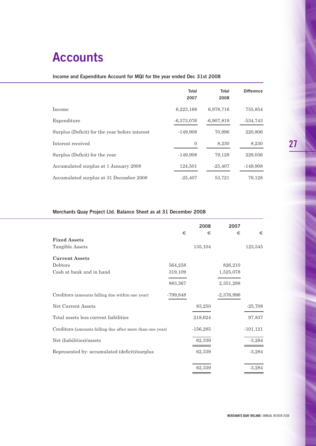# **Accounts**

### **Income and Expenditure Account for MQI for the year ended Dec 31st 2008**

|                                                | <b>Total</b><br>2007 | <b>Total</b><br>2008 | <b>Difference</b> |
|------------------------------------------------|----------------------|----------------------|-------------------|
| Income                                         | 6,223,168            | 6.978.716            | 755,854           |
| Expenditure                                    | $-6,373,076$         | $-6,907,819$         | $-534,743$        |
| Surplus (Deficit) for the year before interest | $-149,908$           | 70,896               | 220,806           |
| Interest received                              | $\overline{0}$       | 8,230                | 8,230             |
| Surplus (Deficit) for the year                 | $-149,908$           | 79,128               | 229,036           |
| Accumulated surplus at 1 January 2008          | 124,501              | $-25,407$            | $-149,908$        |
| Accumulated surplus at 31 December 2008        | $-25,407$            | 53,721               | 79,128            |

### **Merchants Quay Project Ltd. Balance Sheet as at 31 December 2008**

|                                                          | €          | 2008<br>€  | 2007<br>€    | €          |
|----------------------------------------------------------|------------|------------|--------------|------------|
| <b>Fixed Assets</b>                                      |            |            |              |            |
| Tangible Assets                                          |            | 135,104    |              | 123,545    |
| <b>Current Assets</b>                                    |            |            |              |            |
| Debtors                                                  | 564,258    |            | 826,210      |            |
| Cash at bank and in hand                                 | 319,109    |            | 1,525,078    |            |
|                                                          | 883,367    |            | 2,351,288    |            |
| Creditors (amounts falling due within one year)          | $-799,848$ |            | $-2,376,996$ |            |
| Net Current Assets                                       |            | 83,250     |              | $-25,708$  |
| Total assets less current liabilities                    |            | 218,624    |              | 97,837     |
| Creditors (amounts falling due after more than one year) |            | $-156,285$ |              | $-101,121$ |
| Net (liabilities)/assets                                 |            | 62,339     |              | $-3,284$   |
| Represented by: accumulated (deficit)/surplus            |            | 62,339     |              | $-3,284$   |
|                                                          |            | 62,339     |              | $-3,284$   |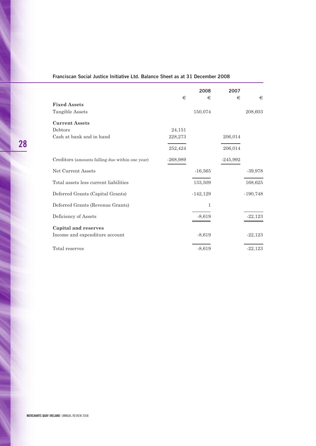### **Franciscan Social Justice Initiative Ltd. Balance Sheet as at 31 December 2008**

|                                                 |            | 2008       | 2007       |            |
|-------------------------------------------------|------------|------------|------------|------------|
| <b>Fixed Assets</b>                             | €          | €          | €          | €          |
| Tangible Assets                                 |            | 150,074    |            | 208,603    |
| <b>Current Assets</b>                           |            |            |            |            |
| Debtors                                         | 24,151     |            |            |            |
| Cash at bank and in hand                        | 228,273    |            | 206,014    |            |
|                                                 | 252,424    |            | 206,014    |            |
| Creditors (amounts falling due within one year) | $-268,989$ |            | $-245,992$ |            |
| Net Current Assets                              |            | $-16,565$  |            | $-39,978$  |
| Total assets less current liabilities           |            | 133,509    |            | 168,625    |
| Deferred Grants (Capital Grants)                |            | $-142,129$ |            | $-190,748$ |
| Deferred Grants (Revenue Grants)                |            | 1          |            |            |
| Deficiency of Assets                            |            | $-8,619$   |            | $-22.123$  |
| <b>Capital and reserves</b>                     |            |            |            |            |
| Income and expenditure account                  |            | $-8,619$   |            | $-22,123$  |
| Total reserves                                  |            | $-8,619$   |            | $-22,123$  |